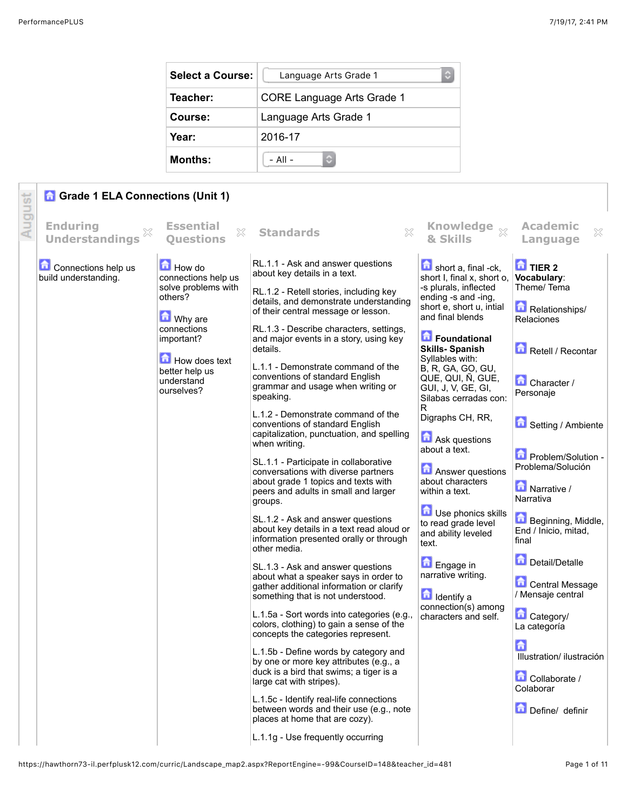| <b>Select a Course:</b> | $\mathbb{C}$<br>Language Arts Grade 1 |
|-------------------------|---------------------------------------|
| Teacher:                | <b>CORE Language Arts Grade 1</b>     |
| Course:                 | Language Arts Grade 1                 |
| Year:                   | 2016-17                               |
| <b>Months:</b>          | $-$ All $-$                           |

## lgust **G** Grade 1 ELA Connections (Unit 1)

| ₹ | <b>Enduring</b><br>×<br><b>Understandings</b> | <b>Essential</b><br>X<br><b>Ouestions</b>                                                                                                                                       | $\chi$<br><b>Standards</b>                                                                                                                                                                                                                                                                                                                                                                                                                                                                                                                                                                                                                                                                                                                                                     | & Skills                                                                                                                                                                                                                                                                                                                                                                                                                                                                                             | <b>Academic</b><br>×<br>Language                                                                                                                                                                                                                      |
|---|-----------------------------------------------|---------------------------------------------------------------------------------------------------------------------------------------------------------------------------------|--------------------------------------------------------------------------------------------------------------------------------------------------------------------------------------------------------------------------------------------------------------------------------------------------------------------------------------------------------------------------------------------------------------------------------------------------------------------------------------------------------------------------------------------------------------------------------------------------------------------------------------------------------------------------------------------------------------------------------------------------------------------------------|------------------------------------------------------------------------------------------------------------------------------------------------------------------------------------------------------------------------------------------------------------------------------------------------------------------------------------------------------------------------------------------------------------------------------------------------------------------------------------------------------|-------------------------------------------------------------------------------------------------------------------------------------------------------------------------------------------------------------------------------------------------------|
|   | Connections help us<br>build understanding.   | How do<br>connections help us<br>solve problems with<br>others?<br><b>M</b> Why are<br>connections<br>important?<br>How does text<br>better help us<br>understand<br>ourselves? | RL.1.1 - Ask and answer questions<br>about key details in a text.<br>RL.1.2 - Retell stories, including key<br>details, and demonstrate understanding<br>of their central message or lesson.<br>RL.1.3 - Describe characters, settings,<br>and major events in a story, using key<br>details.<br>L.1.1 - Demonstrate command of the<br>conventions of standard English<br>grammar and usage when writing or<br>speaking.<br>L.1.2 - Demonstrate command of the<br>conventions of standard English<br>capitalization, punctuation, and spelling<br>when writing.<br>SL.1.1 - Participate in collaborative<br>conversations with diverse partners<br>about grade 1 topics and texts with<br>peers and adults in small and larger<br>groups.<br>SL.1.2 - Ask and answer questions | Knowledge $_{\%}$<br>short a, final -ck,<br>short I, final x, short o,<br>-s plurals, inflected<br>ending -s and -ing,<br>short e, short u, intial<br>and final blends<br>Foundational<br><b>Skills-Spanish</b><br>Syllables with:<br>B, R, GA, GO, GU,<br>QUE, QUI, Ñ, GUE,<br>GUI, J, V, GE, GI,<br>Silabas cerradas con:<br>R<br>Digraphs CH, RR,<br>Ask questions<br>about a text.<br><b>Answer questions</b><br>about characters<br>within a text.<br>Use phonics skills<br>to read grade level | <b>TIER 2</b><br>Vocabulary:<br>Theme/Tema<br>Relationships/<br><b>Relaciones</b><br>Retell / Recontar<br>Character /<br>Personaje<br>Setting / Ambiente<br>Problem/Solution -<br>Problema/Solución<br>Narrative /<br>Narrativa<br>Beginning, Middle, |
|   |                                               |                                                                                                                                                                                 | about key details in a text read aloud or<br>information presented orally or through<br>other media.<br>SL.1.3 - Ask and answer questions<br>about what a speaker says in order to<br>gather additional information or clarify<br>something that is not understood.<br>L.1.5a - Sort words into categories (e.g.,<br>colors, clothing) to gain a sense of the<br>concepts the categories represent.<br>L.1.5b - Define words by category and<br>by one or more key attributes (e.g., a<br>duck is a bird that swims; a tiger is a<br>large cat with stripes).<br>L.1.5c - Identify real-life connections<br>between words and their use (e.g., note<br>places at home that are cozy).<br>L.1.1g - Use frequently occurring                                                     | and ability leveled<br>text.<br><b>D</b> Engage in<br>narrative writing.<br><b>d</b> Identify a<br>connection(s) among<br>characters and self.                                                                                                                                                                                                                                                                                                                                                       | End / Inicio, mitad,<br>final<br>Detail/Detaile<br><b>Central Message</b><br>/ Mensaje central<br>Category/<br>La categoría<br>£<br>Illustration/ ilustración<br>Collaborate /<br>Colaborar<br>Define/ definir                                        |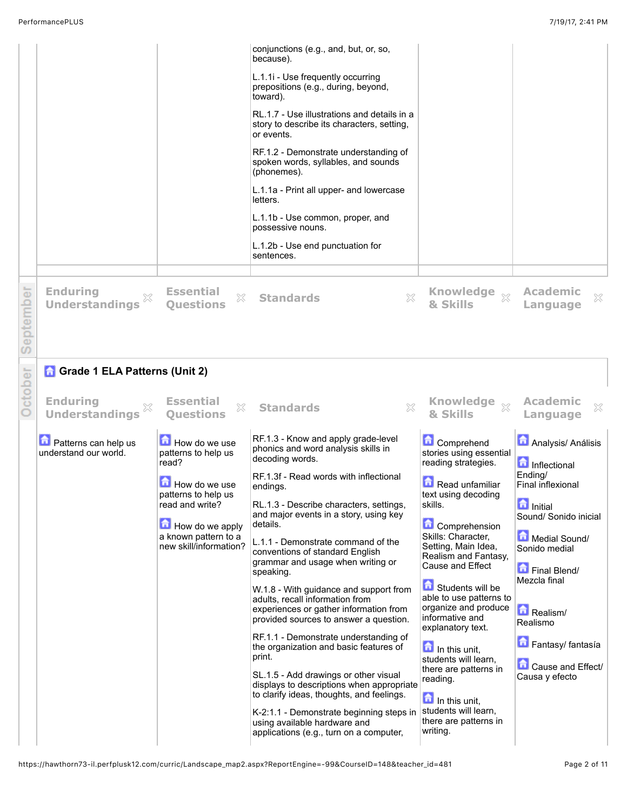|           |                                                        |                                                                                                                                       | conjunctions (e.g., and, but, or, so,<br>because).<br>L.1.1i - Use frequently occurring<br>prepositions (e.g., during, beyond,<br>toward).<br>RL.1.7 - Use illustrations and details in a<br>story to describe its characters, setting,<br>or events.<br>RF.1.2 - Demonstrate understanding of<br>spoken words, syllables, and sounds<br>(phonemes).<br>L.1.1a - Print all upper- and lowercase<br>letters.<br>L.1.1b - Use common, proper, and<br>possessive nouns.<br>L.1.2b - Use end punctuation for<br>sentences.                                                                                                                                                                                                                                                                                 |                                                                                                                                                                                                                                                                                                                                                                                                                                                                      |                                                                                                                                                                                                                                                                 |
|-----------|--------------------------------------------------------|---------------------------------------------------------------------------------------------------------------------------------------|--------------------------------------------------------------------------------------------------------------------------------------------------------------------------------------------------------------------------------------------------------------------------------------------------------------------------------------------------------------------------------------------------------------------------------------------------------------------------------------------------------------------------------------------------------------------------------------------------------------------------------------------------------------------------------------------------------------------------------------------------------------------------------------------------------|----------------------------------------------------------------------------------------------------------------------------------------------------------------------------------------------------------------------------------------------------------------------------------------------------------------------------------------------------------------------------------------------------------------------------------------------------------------------|-----------------------------------------------------------------------------------------------------------------------------------------------------------------------------------------------------------------------------------------------------------------|
| September | <b>Enduring</b><br><b>Understandings</b>               | <b>Essential</b><br>X<br><b>Ouestions</b>                                                                                             | X<br><b>Standards</b>                                                                                                                                                                                                                                                                                                                                                                                                                                                                                                                                                                                                                                                                                                                                                                                  | Knowledge xx<br>& Skills                                                                                                                                                                                                                                                                                                                                                                                                                                             | <b>Academic</b><br>×<br>Language                                                                                                                                                                                                                                |
|           | <b>Grade 1 ELA Patterns (Unit 2)</b>                   |                                                                                                                                       |                                                                                                                                                                                                                                                                                                                                                                                                                                                                                                                                                                                                                                                                                                                                                                                                        |                                                                                                                                                                                                                                                                                                                                                                                                                                                                      |                                                                                                                                                                                                                                                                 |
| October   | <b>Enduring</b><br>X<br><b>Understandings</b>          | <b>Essential</b><br>X<br><b>Ouestions</b>                                                                                             | X<br><b>Standards</b>                                                                                                                                                                                                                                                                                                                                                                                                                                                                                                                                                                                                                                                                                                                                                                                  | Knowledge xx<br>& Skills                                                                                                                                                                                                                                                                                                                                                                                                                                             | <b>Academic</b><br>×<br>Language                                                                                                                                                                                                                                |
|           | <b>D</b> Patterns can help us<br>understand our world. | How do we use<br>patterns to help us                                                                                                  | RF.1.3 - Know and apply grade-level<br>phonics and word analysis skills in<br>decoding words.                                                                                                                                                                                                                                                                                                                                                                                                                                                                                                                                                                                                                                                                                                          | <b>Comprehend</b><br>stories using essential                                                                                                                                                                                                                                                                                                                                                                                                                         | <b>Analysis/ Análisis</b>                                                                                                                                                                                                                                       |
|           |                                                        | read?<br>How do we use<br>patterns to help us<br>read and write?<br>How do we apply<br>a known pattern to a<br>new skill/information? | RF.1.3f - Read words with inflectional<br>endings.<br>RL.1.3 - Describe characters, settings,<br>and major events in a story, using key<br>details.<br>L.1.1 - Demonstrate command of the<br>conventions of standard English<br>grammar and usage when writing or<br>speaking.<br>W.1.8 - With guidance and support from<br>adults, recall information from<br>experiences or gather information from<br>provided sources to answer a question.<br>RF.1.1 - Demonstrate understanding of<br>the organization and basic features of<br>print.<br>SL.1.5 - Add drawings or other visual<br>displays to descriptions when appropriate<br>to clarify ideas, thoughts, and feelings.<br>K-2:1.1 - Demonstrate beginning steps in<br>using available hardware and<br>applications (e.g., turn on a computer, | reading strategies.<br>Read unfamiliar<br>text using decoding<br>skills.<br><b>Comprehension</b><br>Skills: Character,<br>Setting, Main Idea,<br>Realism and Fantasy,<br>Cause and Effect<br>Students will be<br>able to use patterns to<br>organize and produce<br>informative and<br>explanatory text.<br>In this unit,<br>students will learn,<br>there are patterns in<br>reading.<br>In this unit,<br>students will learn,<br>there are patterns in<br>writing. | <b>n</b> Inflectional<br>Ending/<br><b>Final inflexional</b><br><b>n</b> Initial<br>Sound/ Sonido inicial<br>Medial Sound/<br>Sonido medial<br>Final Blend/<br>Mezcla final<br>Realism/<br>Realismo<br>Fantasy/ fantasía<br>Cause and Effect/<br>Causa y efecto |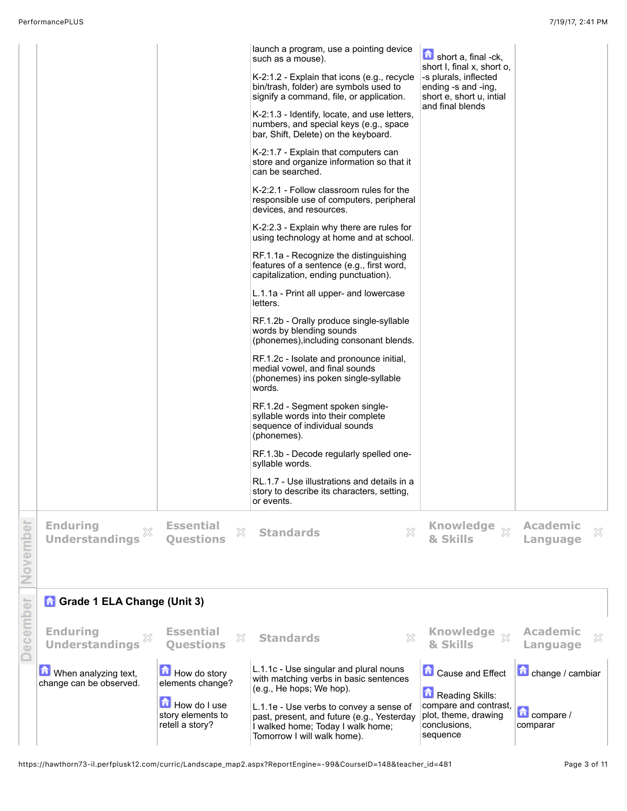|          |                                                                                                  | How do I use<br>story elements to<br>retell a story?                          | (e.g., He hops; We hop).<br>L.1.1e - Use verbs to convey a sense of<br>past, present, and future (e.g., Yesterday<br>I walked home; Today I walk home;<br>Tomorrow I will walk home). | Reading Skills:<br>compare and contrast,<br>plot, theme, drawing<br>conclusions,<br>sequence                                  | compare /<br>comparar                                |
|----------|--------------------------------------------------------------------------------------------------|-------------------------------------------------------------------------------|---------------------------------------------------------------------------------------------------------------------------------------------------------------------------------------|-------------------------------------------------------------------------------------------------------------------------------|------------------------------------------------------|
| December | <b>Enduring</b><br>X<br><b>Understandings</b><br>When analyzing text,<br>change can be observed. | <b>Essential</b><br>×<br><b>Ouestions</b><br>How do story<br>elements change? | $\gtrsim$<br><b>Standards</b><br>L.1.1c - Use singular and plural nouns<br>with matching verbs in basic sentences                                                                     | & Skills<br>Cause and Effect                                                                                                  | <b>Academic</b><br>×<br>Language<br>change / cambiar |
|          | <b>Grade 1 ELA Change (Unit 3)</b>                                                               |                                                                               |                                                                                                                                                                                       |                                                                                                                               |                                                      |
| November | <b>Enduring</b><br>×<br><b>Understandings</b>                                                    | <b>Essential</b><br>×<br><b>Questions</b>                                     | X<br><b>Standards</b>                                                                                                                                                                 | <b>Knowledge</b><br>- 33<br>& Skills                                                                                          | <b>Academic</b><br>×<br>Language                     |
|          |                                                                                                  |                                                                               | syllable words.<br>RL.1.7 - Use illustrations and details in a<br>story to describe its characters, setting,<br>or events.                                                            |                                                                                                                               |                                                      |
|          |                                                                                                  |                                                                               | RF.1.2d - Segment spoken single-<br>syllable words into their complete<br>sequence of individual sounds<br>(phonemes).<br>RF.1.3b - Decode regularly spelled one-                     |                                                                                                                               |                                                      |
|          |                                                                                                  |                                                                               | RF.1.2c - Isolate and pronounce initial,<br>medial vowel, and final sounds<br>(phonemes) ins poken single-syllable<br>words.                                                          |                                                                                                                               |                                                      |
|          |                                                                                                  |                                                                               | RF.1.2b - Orally produce single-syllable<br>words by blending sounds<br>(phonemes), including consonant blends.                                                                       |                                                                                                                               |                                                      |
|          |                                                                                                  |                                                                               | L.1.1a - Print all upper- and lowercase<br>letters.                                                                                                                                   |                                                                                                                               |                                                      |
|          |                                                                                                  |                                                                               | RF.1.1a - Recognize the distinguishing<br>features of a sentence (e.g., first word,<br>capitalization, ending punctuation).                                                           |                                                                                                                               |                                                      |
|          |                                                                                                  |                                                                               | K-2:2.3 - Explain why there are rules for<br>using technology at home and at school.                                                                                                  |                                                                                                                               |                                                      |
|          |                                                                                                  |                                                                               | K-2:2.1 - Follow classroom rules for the<br>responsible use of computers, peripheral<br>devices, and resources.                                                                       |                                                                                                                               |                                                      |
|          |                                                                                                  |                                                                               | K-2:1.7 - Explain that computers can<br>store and organize information so that it<br>can be searched.                                                                                 |                                                                                                                               |                                                      |
|          |                                                                                                  |                                                                               | K-2:1.3 - Identify, locate, and use letters,<br>numbers, and special keys (e.g., space<br>bar, Shift, Delete) on the keyboard.                                                        | and final blends                                                                                                              |                                                      |
|          |                                                                                                  |                                                                               | such as a mouse).<br>K-2:1.2 - Explain that icons (e.g., recycle<br>bin/trash, folder) are symbols used to<br>signify a command, file, or application.                                | short a, final -ck,<br>short I, final x, short o,<br>-s plurals, inflected<br>ending -s and -ing,<br>short e, short u, intial |                                                      |
|          |                                                                                                  |                                                                               | launch a program, use a pointing device                                                                                                                                               |                                                                                                                               |                                                      |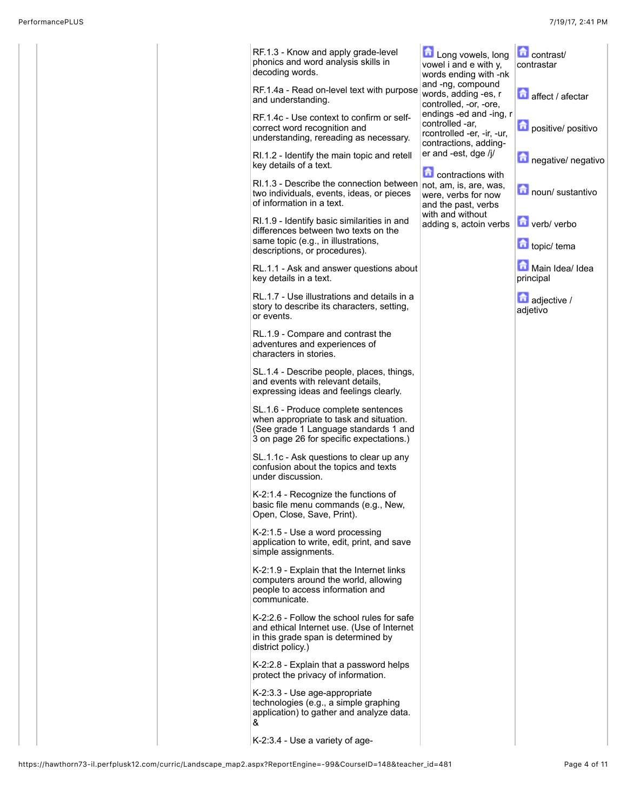|  | RF.1.3 - Know and apply grade-level<br>phonics and word analysis skills in<br>decoding words.                                                                       | Long vowels, long<br>vowel i and e with y,<br>words ending with -nk                               | <b>Contrast/</b><br>contrastar |
|--|---------------------------------------------------------------------------------------------------------------------------------------------------------------------|---------------------------------------------------------------------------------------------------|--------------------------------|
|  | RF.1.4a - Read on-level text with purpose<br>and understanding.                                                                                                     | and -ng, compound<br>words, adding -es, r<br>controlled, -or, -ore,                               | affect / afectar               |
|  | RF.1.4c - Use context to confirm or self-<br>correct word recognition and<br>understanding, rereading as necessary.                                                 | endings -ed and -ing, r<br>controlled -ar.<br>rcontrolled -er, -ir, -ur,<br>contractions, adding- | positive/ positivo             |
|  | RI.1.2 - Identify the main topic and retell<br>key details of a text.                                                                                               | er and -est, dge /j/                                                                              | negative/ negativo             |
|  | RI.1.3 - Describe the connection between not, am, is, are, was,<br>two individuals, events, ideas, or pieces<br>of information in a text.                           | <b>Contractions</b> with<br>were, verbs for now<br>and the past, verbs                            | noun/ sustantivo               |
|  | RI.1.9 - Identify basic similarities in and<br>differences between two texts on the<br>same topic (e.g., in illustrations,                                          | with and without<br>adding s, actoin verbs                                                        | verb/ verbo<br>topic/ tema     |
|  | descriptions, or procedures).<br>RL.1.1 - Ask and answer questions about                                                                                            |                                                                                                   | Main Idea/ Idea                |
|  | key details in a text.                                                                                                                                              |                                                                                                   | principal                      |
|  | RL.1.7 - Use illustrations and details in a<br>story to describe its characters, setting,<br>or events.                                                             |                                                                                                   | adjective /<br>adjetivo        |
|  | RL.1.9 - Compare and contrast the<br>adventures and experiences of<br>characters in stories.                                                                        |                                                                                                   |                                |
|  | SL.1.4 - Describe people, places, things,<br>and events with relevant details,<br>expressing ideas and feelings clearly.                                            |                                                                                                   |                                |
|  | SL.1.6 - Produce complete sentences<br>when appropriate to task and situation.<br>(See grade 1 Language standards 1 and<br>3 on page 26 for specific expectations.) |                                                                                                   |                                |
|  | SL.1.1c - Ask questions to clear up any<br>confusion about the topics and texts<br>under discussion.                                                                |                                                                                                   |                                |
|  | $K-2:1.4$ - Recognize the functions of<br>basic file menu commands (e.g., New,<br>Open, Close, Save, Print).                                                        |                                                                                                   |                                |
|  | K-2:1.5 - Use a word processing<br>application to write, edit, print, and save<br>simple assignments.                                                               |                                                                                                   |                                |
|  | K-2:1.9 - Explain that the Internet links<br>computers around the world, allowing<br>people to access information and<br>communicate.                               |                                                                                                   |                                |
|  | K-2:2.6 - Follow the school rules for safe<br>and ethical Internet use. (Use of Internet<br>in this grade span is determined by<br>district policy.)                |                                                                                                   |                                |
|  | K-2:2.8 - Explain that a password helps<br>protect the privacy of information.                                                                                      |                                                                                                   |                                |
|  | K-2:3.3 - Use age-appropriate<br>technologies (e.g., a simple graphing<br>application) to gather and analyze data.<br>&                                             |                                                                                                   |                                |
|  | K-2:3.4 - Use a variety of age-                                                                                                                                     |                                                                                                   |                                |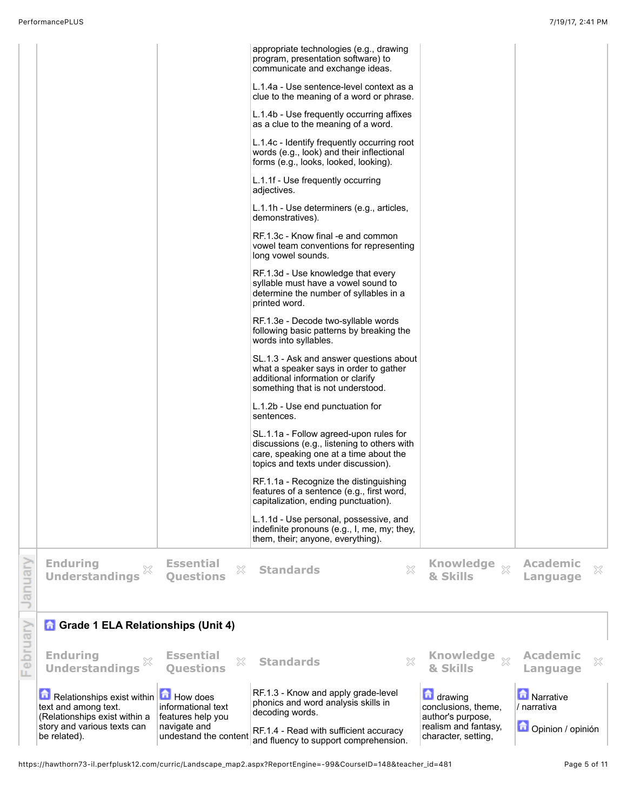|          | Relationships exist within <b>T</b> How does<br>text and among text.<br>(Relationships exist within a<br>story and various texts can<br>be related). | informational text<br>features help you<br>navigate and<br>undestand the content | RF.1.3 - Know and apply grade-level<br>phonics and word analysis skills in<br>decoding words.<br>RF.1.4 - Read with sufficient accuracy<br>and fluency to support comprehension. | drawing<br>conclusions, theme,<br>author's purpose,<br>realism and fantasy,<br>character, setting, | Narrative<br>/ narrativa<br>Opinion / opinión |
|----------|------------------------------------------------------------------------------------------------------------------------------------------------------|----------------------------------------------------------------------------------|----------------------------------------------------------------------------------------------------------------------------------------------------------------------------------|----------------------------------------------------------------------------------------------------|-----------------------------------------------|
| February | <b>Enduring</b><br><b>Understandings</b>                                                                                                             | <b>Essential</b><br>X<br><b>Ouestions</b>                                        | $\chi$<br><b>Standards</b>                                                                                                                                                       | <b>Knowledge</b><br>$\bar{\chi}$<br>& Skills                                                       | <b>Academic</b><br>X<br>Language              |
|          | <b>n</b> Grade 1 ELA Relationships (Unit 4)                                                                                                          |                                                                                  |                                                                                                                                                                                  |                                                                                                    |                                               |
| January  | <b>Enduring</b><br><b>Understandings</b>                                                                                                             | <b>Essential</b><br>X<br><b>Ouestions</b>                                        | X<br><b>Standards</b>                                                                                                                                                            | <b>Knowledge</b><br>$\mathbb{X}$<br>& Skills                                                       | <b>Academic</b><br>×<br>Language              |
|          |                                                                                                                                                      |                                                                                  | capitalization, ending punctuation).<br>L.1.1d - Use personal, possessive, and<br>indefinite pronouns (e.g., I, me, my; they,<br>them, their; anyone, everything).               |                                                                                                    |                                               |
|          |                                                                                                                                                      |                                                                                  | RF.1.1a - Recognize the distinguishing<br>features of a sentence (e.g., first word,                                                                                              |                                                                                                    |                                               |
|          |                                                                                                                                                      |                                                                                  | SL.1.1a - Follow agreed-upon rules for<br>discussions (e.g., listening to others with<br>care, speaking one at a time about the<br>topics and texts under discussion).           |                                                                                                    |                                               |
|          |                                                                                                                                                      |                                                                                  | L.1.2b - Use end punctuation for<br>sentences.                                                                                                                                   |                                                                                                    |                                               |
|          |                                                                                                                                                      |                                                                                  | SL.1.3 - Ask and answer questions about<br>what a speaker says in order to gather<br>additional information or clarify<br>something that is not understood.                      |                                                                                                    |                                               |
|          |                                                                                                                                                      |                                                                                  | RF.1.3e - Decode two-syllable words<br>following basic patterns by breaking the<br>words into syllables.                                                                         |                                                                                                    |                                               |
|          |                                                                                                                                                      |                                                                                  | RF.1.3d - Use knowledge that every<br>syllable must have a vowel sound to<br>determine the number of syllables in a<br>printed word.                                             |                                                                                                    |                                               |
|          |                                                                                                                                                      |                                                                                  | RF.1.3c - Know final -e and common<br>vowel team conventions for representing<br>long vowel sounds.                                                                              |                                                                                                    |                                               |
|          |                                                                                                                                                      |                                                                                  | adjectives.<br>L.1.1h - Use determiners (e.g., articles,<br>demonstratives).                                                                                                     |                                                                                                    |                                               |
|          |                                                                                                                                                      |                                                                                  | forms (e.g., looks, looked, looking).<br>L.1.1f - Use frequently occurring                                                                                                       |                                                                                                    |                                               |
|          |                                                                                                                                                      |                                                                                  | as a clue to the meaning of a word.<br>L.1.4c - Identify frequently occurring root<br>words (e.g., look) and their inflectional                                                  |                                                                                                    |                                               |
|          |                                                                                                                                                      |                                                                                  | clue to the meaning of a word or phrase.<br>L.1.4b - Use frequently occurring affixes                                                                                            |                                                                                                    |                                               |
|          |                                                                                                                                                      |                                                                                  | communicate and exchange ideas.<br>L.1.4a - Use sentence-level context as a                                                                                                      |                                                                                                    |                                               |
|          |                                                                                                                                                      |                                                                                  | appropriate technologies (e.g., drawing<br>program, presentation software) to                                                                                                    |                                                                                                    |                                               |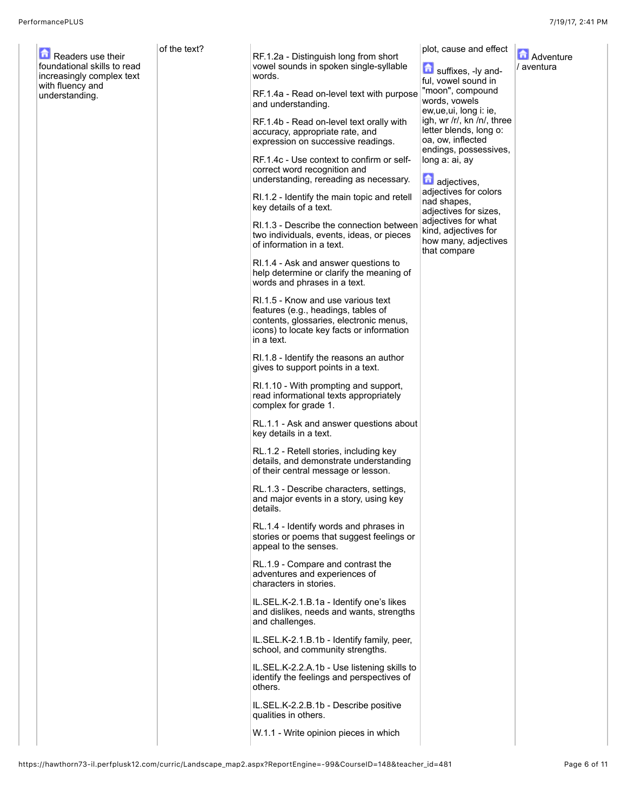| Readers use their<br>foundational skills to read<br>increasingly complex text<br>with fluency and<br>understanding. | of the text? | RF.1.2a - Distinguish long from short<br>vowel sounds in spoken single-syllable<br>words.<br>RF.1.4a - Read on-level text with purpose<br>and understanding.<br>RF.1.4b - Read on-level text orally with<br>accuracy, appropriate rate, and<br>expression on successive readings.<br>RF.1.4c - Use context to confirm or self-<br>correct word recognition and<br>understanding, rereading as necessary. | plot, cause and effect<br>suffixes, -ly and-<br>ful, vowel sound in<br>"moon", compound<br>words, vowels<br>ew, ue, ui, long i: ie,<br>igh, wr /r/, kn /n/, three<br>letter blends, long o:<br>oa, ow, inflected<br>endings, possessives,<br>long a: ai, ay<br>adjectives,<br>adjectives for colors | <b>A</b> Adventure<br>/ aventura |
|---------------------------------------------------------------------------------------------------------------------|--------------|----------------------------------------------------------------------------------------------------------------------------------------------------------------------------------------------------------------------------------------------------------------------------------------------------------------------------------------------------------------------------------------------------------|-----------------------------------------------------------------------------------------------------------------------------------------------------------------------------------------------------------------------------------------------------------------------------------------------------|----------------------------------|
|                                                                                                                     |              | RI.1.2 - Identify the main topic and retell<br>key details of a text.<br>RI.1.3 - Describe the connection between<br>two individuals, events, ideas, or pieces<br>of information in a text.<br>RI.1.4 - Ask and answer questions to                                                                                                                                                                      | nad shapes,<br>adjectives for sizes,<br>adjectives for what<br>kind, adjectives for<br>how many, adjectives<br>that compare                                                                                                                                                                         |                                  |
|                                                                                                                     |              | help determine or clarify the meaning of<br>words and phrases in a text.                                                                                                                                                                                                                                                                                                                                 |                                                                                                                                                                                                                                                                                                     |                                  |
|                                                                                                                     |              | RI.1.5 - Know and use various text<br>features (e.g., headings, tables of<br>contents, glossaries, electronic menus,<br>icons) to locate key facts or information<br>in a text.                                                                                                                                                                                                                          |                                                                                                                                                                                                                                                                                                     |                                  |
|                                                                                                                     |              | RI.1.8 - Identify the reasons an author<br>gives to support points in a text.                                                                                                                                                                                                                                                                                                                            |                                                                                                                                                                                                                                                                                                     |                                  |
|                                                                                                                     |              | RI.1.10 - With prompting and support,<br>read informational texts appropriately<br>complex for grade 1.                                                                                                                                                                                                                                                                                                  |                                                                                                                                                                                                                                                                                                     |                                  |
|                                                                                                                     |              | RL.1.1 - Ask and answer questions about<br>key details in a text.                                                                                                                                                                                                                                                                                                                                        |                                                                                                                                                                                                                                                                                                     |                                  |
|                                                                                                                     |              | RL.1.2 - Retell stories, including key<br>details, and demonstrate understanding<br>of their central message or lesson.                                                                                                                                                                                                                                                                                  |                                                                                                                                                                                                                                                                                                     |                                  |
|                                                                                                                     |              | RL.1.3 - Describe characters, settings,<br>and major events in a story, using key<br>details.                                                                                                                                                                                                                                                                                                            |                                                                                                                                                                                                                                                                                                     |                                  |
|                                                                                                                     |              | RL.1.4 - Identify words and phrases in<br>stories or poems that suggest feelings or<br>appeal to the senses.                                                                                                                                                                                                                                                                                             |                                                                                                                                                                                                                                                                                                     |                                  |
|                                                                                                                     |              | RL.1.9 - Compare and contrast the<br>adventures and experiences of<br>characters in stories.                                                                                                                                                                                                                                                                                                             |                                                                                                                                                                                                                                                                                                     |                                  |
|                                                                                                                     |              | IL.SEL.K-2.1.B.1a - Identify one's likes<br>and dislikes, needs and wants, strengths<br>and challenges.                                                                                                                                                                                                                                                                                                  |                                                                                                                                                                                                                                                                                                     |                                  |
|                                                                                                                     |              | IL.SEL.K-2.1.B.1b - Identify family, peer,<br>school, and community strengths.                                                                                                                                                                                                                                                                                                                           |                                                                                                                                                                                                                                                                                                     |                                  |
|                                                                                                                     |              | IL.SEL.K-2.2.A.1b - Use listening skills to<br>identify the feelings and perspectives of<br>others.                                                                                                                                                                                                                                                                                                      |                                                                                                                                                                                                                                                                                                     |                                  |
|                                                                                                                     |              | IL.SEL.K-2.2.B.1b - Describe positive<br>qualities in others.                                                                                                                                                                                                                                                                                                                                            |                                                                                                                                                                                                                                                                                                     |                                  |
|                                                                                                                     |              | W.1.1 - Write opinion pieces in which                                                                                                                                                                                                                                                                                                                                                                    |                                                                                                                                                                                                                                                                                                     |                                  |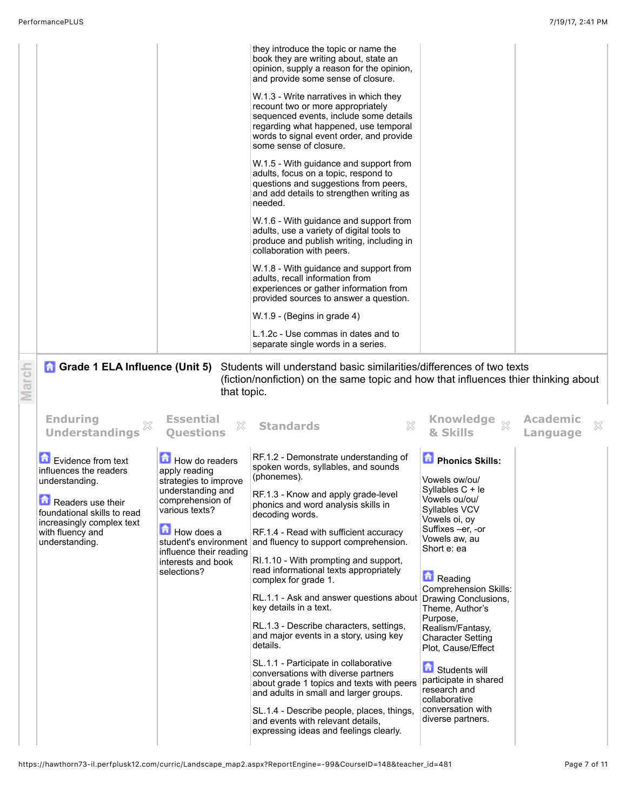|                                                                                                                                                                                       |                                                                                                                                                                                                   | they introduce the topic or name the<br>book they are writing about, state an<br>opinion, supply a reason for the opinion,<br>and provide some sense of closure.<br>W.1.3 - Write narratives in which they<br>recount two or more appropriately<br>sequenced events, include some details<br>regarding what happened, use temporal<br>words to signal event order, and provide<br>some sense of closure.<br>W.1.5 - With guidance and support from<br>adults, focus on a topic, respond to<br>questions and suggestions from peers,<br>and add details to strengthen writing as<br>needed.<br>W.1.6 - With guidance and support from<br>adults, use a variety of digital tools to<br>produce and publish writing, including in<br>collaboration with peers.<br>W.1.8 - With guidance and support from<br>adults, recall information from<br>experiences or gather information from<br>provided sources to answer a question.<br>W.1.9 - (Begins in grade 4)<br>L.1.2c - Use commas in dates and to |                                                                                                                                                                                                                                                                                                                                                                        |                                  |
|---------------------------------------------------------------------------------------------------------------------------------------------------------------------------------------|---------------------------------------------------------------------------------------------------------------------------------------------------------------------------------------------------|----------------------------------------------------------------------------------------------------------------------------------------------------------------------------------------------------------------------------------------------------------------------------------------------------------------------------------------------------------------------------------------------------------------------------------------------------------------------------------------------------------------------------------------------------------------------------------------------------------------------------------------------------------------------------------------------------------------------------------------------------------------------------------------------------------------------------------------------------------------------------------------------------------------------------------------------------------------------------------------------------|------------------------------------------------------------------------------------------------------------------------------------------------------------------------------------------------------------------------------------------------------------------------------------------------------------------------------------------------------------------------|----------------------------------|
|                                                                                                                                                                                       |                                                                                                                                                                                                   | separate single words in a series.                                                                                                                                                                                                                                                                                                                                                                                                                                                                                                                                                                                                                                                                                                                                                                                                                                                                                                                                                                 |                                                                                                                                                                                                                                                                                                                                                                        |                                  |
| <b>n</b> Grade 1 ELA Influence (Unit 5)<br><b>Enduring</b><br><b>Understandings</b>                                                                                                   | that topic.<br><b>Essential</b><br>X<br><b>Questions</b>                                                                                                                                          | Students will understand basic similarities/differences of two texts<br>(fiction/nonfiction) on the same topic and how that influences thier thinking about<br><b>Standards</b><br>X                                                                                                                                                                                                                                                                                                                                                                                                                                                                                                                                                                                                                                                                                                                                                                                                               | <b>Knowledge</b><br>$\S 2$<br>& Skills                                                                                                                                                                                                                                                                                                                                 | <b>Academic</b><br>X<br>Language |
| Evidence from text<br>influences the readers<br>understanding.<br>Readers use their<br>foundational skills to read<br>increasingly complex text<br>with fluency and<br>understanding. | How do readers<br>apply reading<br>strategies to improve<br>understanding and<br>comprehension of<br>various texts?<br>How does a<br>influence their reading<br>interests and book<br>selections? | RF.1.2 - Demonstrate understanding of<br>spoken words, syllables, and sounds<br>(phonemes).<br>RF.1.3 - Know and apply grade-level<br>phonics and word analysis skills in<br>decoding words.<br>RF.1.4 - Read with sufficient accuracy<br>student's environment and fluency to support comprehension.<br>RI.1.10 - With prompting and support,<br>read informational texts appropriately<br>complex for grade 1.<br>RL.1.1 - Ask and answer questions about Drawing Conclusions,<br>key details in a text.<br>RL.1.3 - Describe characters, settings,<br>and major events in a story, using key<br>details.<br>SL.1.1 - Participate in collaborative<br>conversations with diverse partners<br>about grade 1 topics and texts with peers                                                                                                                                                                                                                                                           | <b>D</b> Phonics Skills:<br>Vowels ow/ou/<br>Syllables C + le<br>Vowels ou/ou/<br>Syllables VCV<br>Vowels oi, oy<br>Suffixes -er, -or<br>Vowels aw, au<br>Short e: ea<br>Reading<br><b>Comprehension Skills:</b><br>Theme, Author's<br>Purpose,<br>Realism/Fantasy,<br><b>Character Setting</b><br>Plot, Cause/Effect<br><b>Students will</b><br>participate in shared |                                  |

SL.1.4 - Describe people, places, things, and events with relevant details, expressing ideas and feelings clearly.

collaborative conversation with diverse partners.

https://hawthorn73-il.perfplusk12.com/curric/Landscape\_map2.aspx?ReportEngine=-99&CourseID=148&teacher\_id=481 Page 7 of 11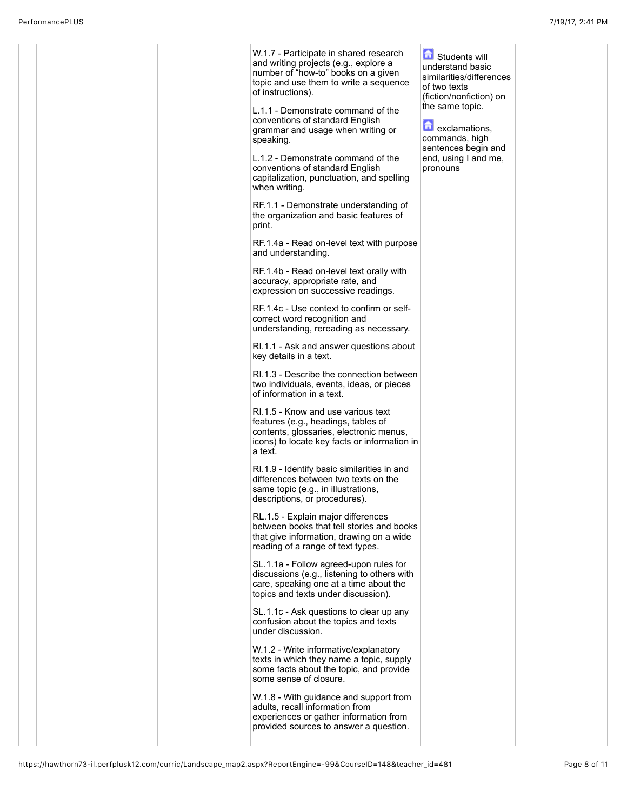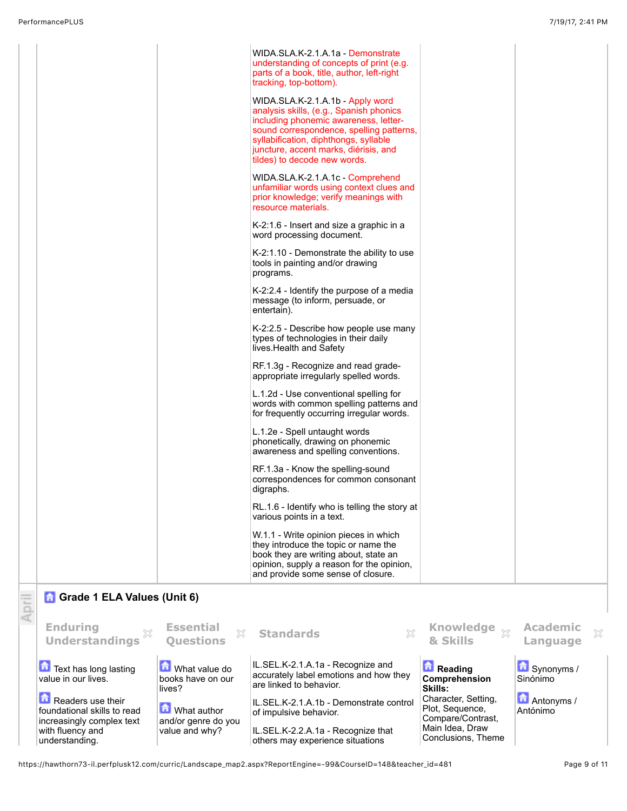understanding.

others may experience situations

https://hawthorn73-il.perfplusk12.com/curric/Landscape\_map2.aspx?ReportEngine=-99&CourseID=148&teacher\_id=481 Page 9 of 11

Conclusions, Theme